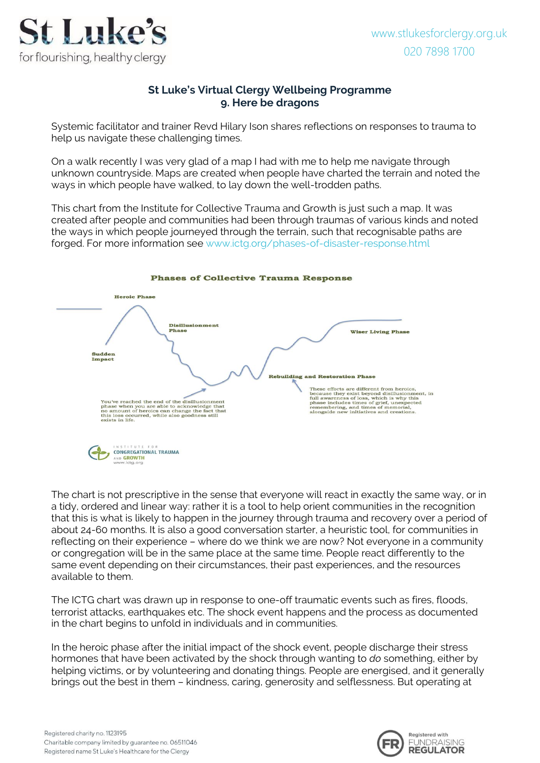

## **St Luke's Virtual Clergy Wellbeing Programme 9. Here be dragons**

Systemic facilitator and trainer Revd Hilary Ison shares reflections on responses to trauma to help us navigate these challenging times.

On a walk recently I was very glad of a map I had with me to help me navigate through unknown countryside. Maps are created when people have charted the terrain and noted the ways in which people have walked, to lay down the well-trodden paths.

This chart from the Institute for Collective Trauma and Growth is just such a map. It was created after people and communities had been through traumas of various kinds and noted the ways in which people journeyed through the terrain, such that recognisable paths are forged. For more information see [www.ictg.org/phases-of-disaster-response.html](https://www.ictg.org/phases-of-disaster-response.html)



## **Phases of Collective Trauma Response**

The chart is not prescriptive in the sense that everyone will react in exactly the same way, or in a tidy, ordered and linear way: rather it is a tool to help orient communities in the recognition that this is what is likely to happen in the journey through trauma and recovery over a period of about 24-60 months. It is also a good conversation starter, a heuristic tool, for communities in reflecting on their experience – where do we think we are now? Not everyone in a community or congregation will be in the same place at the same time. People react differently to the same event depending on their circumstances, their past experiences, and the resources available to them.

The ICTG chart was drawn up in response to one-off traumatic events such as fires, floods, terrorist attacks, earthquakes etc. The shock event happens and the process as documented in the chart begins to unfold in individuals and in communities.

In the heroic phase after the initial impact of the shock event, people discharge their stress hormones that have been activated by the shock through wanting to *do* something, either by helping victims, or by volunteering and donating things. People are energised, and it generally brings out the best in them – kindness, caring, generosity and selflessness. But operating at

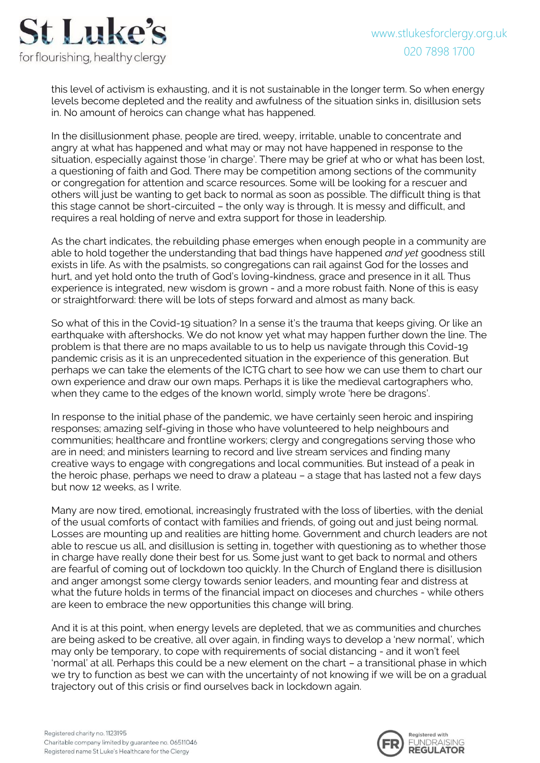

this level of activism is exhausting, and it is not sustainable in the longer term. So when energy levels become depleted and the reality and awfulness of the situation sinks in, disillusion sets in. No amount of heroics can change what has happened.

In the disillusionment phase, people are tired, weepy, irritable, unable to concentrate and angry at what has happened and what may or may not have happened in response to the situation, especially against those 'in charge'. There may be grief at who or what has been lost, a questioning of faith and God. There may be competition among sections of the community or congregation for attention and scarce resources. Some will be looking for a rescuer and others will just be wanting to get back to normal as soon as possible. The difficult thing is that this stage cannot be short-circuited – the only way is through. It is messy and difficult, and requires a real holding of nerve and extra support for those in leadership.

As the chart indicates, the rebuilding phase emerges when enough people in a community are able to hold together the understanding that bad things have happened *and yet* goodness still exists in life. As with the psalmists, so congregations can rail against God for the losses and hurt, and yet hold onto the truth of God's loving-kindness, grace and presence in it all. Thus experience is integrated, new wisdom is grown - and a more robust faith. None of this is easy or straightforward: there will be lots of steps forward and almost as many back.

So what of this in the Covid-19 situation? In a sense it's the trauma that keeps giving. Or like an earthquake with aftershocks. We do not know yet what may happen further down the line. The problem is that there are no maps available to us to help us navigate through this Covid-19 pandemic crisis as it is an unprecedented situation in the experience of this generation. But perhaps we can take the elements of the ICTG chart to see how we can use them to chart our own experience and draw our own maps. Perhaps it is like the medieval cartographers who, when they came to the edges of the known world, simply wrote 'here be dragons'.

In response to the initial phase of the pandemic, we have certainly seen heroic and inspiring responses; amazing self-giving in those who have volunteered to help neighbours and communities; healthcare and frontline workers; clergy and congregations serving those who are in need; and ministers learning to record and live stream services and finding many creative ways to engage with congregations and local communities. But instead of a peak in the heroic phase, perhaps we need to draw a plateau – a stage that has lasted not a few days but now 12 weeks, as I write.

Many are now tired, emotional, increasingly frustrated with the loss of liberties, with the denial of the usual comforts of contact with families and friends, of going out and just being normal. Losses are mounting up and realities are hitting home. Government and church leaders are not able to rescue us all, and disillusion is setting in, together with questioning as to whether those in charge have really done their best for us. Some just want to get back to normal and others are fearful of coming out of lockdown too quickly. In the Church of England there is disillusion and anger amongst some clergy towards senior leaders, and mounting fear and distress at what the future holds in terms of the financial impact on dioceses and churches - while others are keen to embrace the new opportunities this change will bring.

And it is at this point, when energy levels are depleted, that we as communities and churches are being asked to be creative, all over again, in finding ways to develop a 'new normal', which may only be temporary, to cope with requirements of social distancing - and it won't feel 'normal' at all. Perhaps this could be a new element on the chart – a transitional phase in which we try to function as best we can with the uncertainty of not knowing if we will be on a gradual trajectory out of this crisis or find ourselves back in lockdown again.